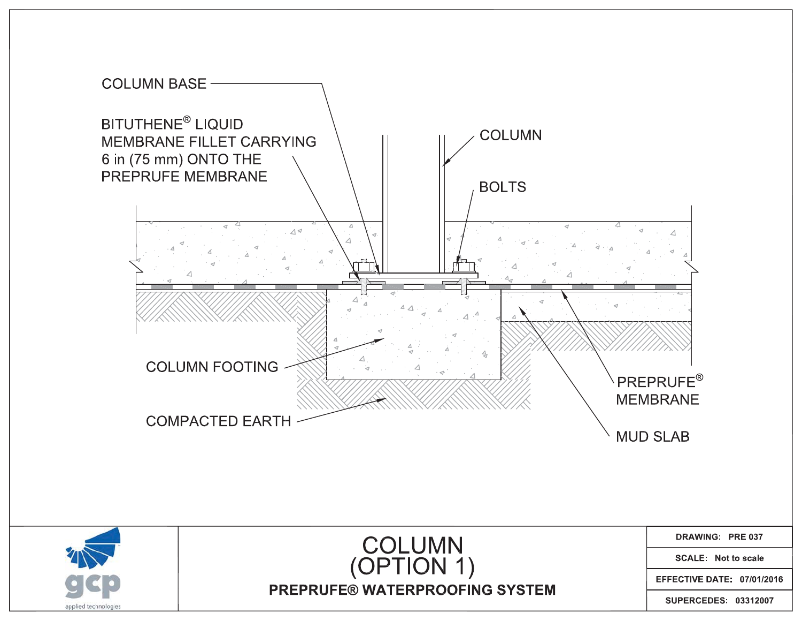